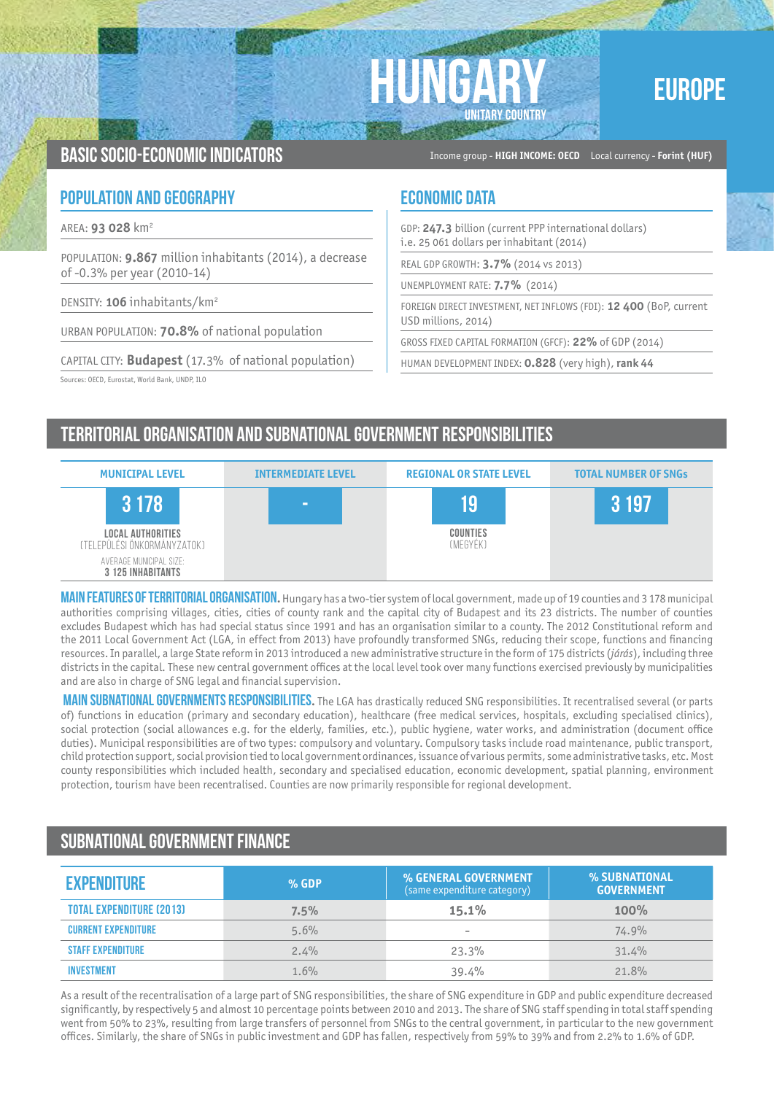



Basic socio-economic indicators Income group - **HIGH INCOME: OECD** Local currency - **Forint (HUF)**

### **POPULATION AND GEOGRAPHY ECONOMIC DATA**

AREA: **93 028** km2

POPULATION: **9.867** million inhabitants (2014), a decrease of -0.3% per year (2010-14)

DENSITY: **106** inhabitants/km2

URBAN POPULATION: **70.8%** of national population

CAPITAL CITY: **Budapest** (17.3% of national population)

Sources: OECD, Eurostat, World Bank, UNDP, ILO

GDP: **247.3** billion (current PPP international dollars) i.e. 25 061 dollars per inhabitant (2014)

REAL GDP GROWTH: **3.7%** (2014 vs 2013)

UNEMPLOYMENT RATE: **7.7%** (2014)

FOREIGN DIRECT INVESTMENT, NET INFLOWS (FDI): **12 400** (BoP, current USD millions, 2014)

GROSS FIXED CAPITAL FORMATION (GFCF): **22%** of GDP (2014)

HUMAN DEVELOPMENT INDEX: **0.828** (very high), **rank 44**

# Territorial organisation and subnational government RESPONSIBILITIES

| <b>MUNICIPAL LEVEL</b>                                  | <b>INTERMEDIATE LEVEL</b> | <b>REGIONAL OR STATE LEVEL</b> | <b>TOTAL NUMBER OF SNGS</b> |
|---------------------------------------------------------|---------------------------|--------------------------------|-----------------------------|
| 3 1 7 8                                                 | $\sim$                    | 19                             | 3 197                       |
| <b>LOCAL AUTHORITIES</b><br>(TELEPÜLÉSI ÖNKORMÁNYZATOK) |                           | COUNTIES<br>(MEGYÉK)           |                             |
| AVERAGE MUNICIPAL SIZE:<br><b>3 125 INHABITANTS</b>     |                           |                                |                             |

MAIN FEATURES OF TERRITORIAL ORGANISATION. Hungary has a two-tier system of local government, made up of 19 counties and 3 178 municipal authorities comprising villages, cities, cities of county rank and the capital city of Budapest and its 23 districts. The number of counties excludes Budapest which has had special status since 1991 and has an organisation similar to a county. The 2012 Constitutional reform and the 2011 Local Government Act (LGA, in effect from 2013) have profoundly transformed SNGs, reducing their scope, functions and financing resources. In parallel, a large State reform in 2013 introduced a new administrative structure in the form of 175 districts (*járás*), including three districts in the capital. These new central government offices at the local level took over many functions exercised previously by municipalities and are also in charge of SNG legal and financial supervision.

**MAIN SUBNATIONAL GOVERNMENTS RESPONSIBILITIES.** The LGA has drastically reduced SNG responsibilities. It recentralised several (or parts of) functions in education (primary and secondary education), healthcare (free medical services, hospitals, excluding specialised clinics), social protection (social allowances e.g. for the elderly, families, etc.), public hygiene, water works, and administration (document office duties). Municipal responsibilities are of two types: compulsory and voluntary. Compulsory tasks include road maintenance, public transport, child protection support, social provision tied to local government ordinances, issuance of various permits, some administrative tasks, etc. Most county responsibilities which included health, secondary and specialised education, economic development, spatial planning, environment protection, tourism have been recentralised. Counties are now primarily responsible for regional development.

## Subnational government finance

| <b>EXPENDITURE</b>              | $%$ GDP | % GENERAL GOVERNMENT<br>(same expenditure category) | % SUBNATIONAL<br><b>GOVERNMENT</b> |
|---------------------------------|---------|-----------------------------------------------------|------------------------------------|
| <b>TOTAL EXPENDITURE (2013)</b> | 7.5%    | 15.1%                                               | 100%                               |
| <b>CURRENT EXPENDITURE</b>      | 5.6%    | $\hspace{0.1mm}-\hspace{0.1mm}$                     | 74.9%                              |
| <b>STAFF EXPENDITURE</b>        | 2.4%    | 23.3%                                               | 31.4%                              |
| <b>INVESTMENT</b>               | 1.6%    | 39.4%                                               | 21.8%                              |

As a result of the recentralisation of a large part of SNG responsibilities, the share of SNG expenditure in GDP and public expenditure decreased significantly, by respectively 5 and almost 10 percentage points between 2010 and 2013. The share of SNG staff spending in total staff spending went from 50% to 23%, resulting from large transfers of personnel from SNGs to the central government, in particular to the new government offices. Similarly, the share of SNGs in public investment and GDP has fallen, respectively from 59% to 39% and from 2.2% to 1.6% of GDP.